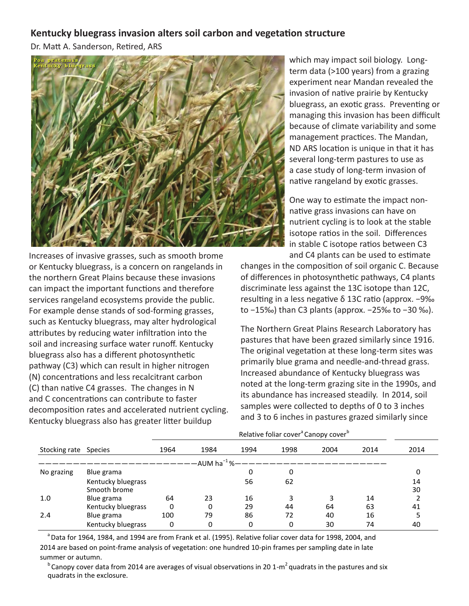## **Kentucky bluegrass invasion alters soil carbon and vegetation structure**

Dr. Matt A. Sanderson, Retired, ARS



Increases of invasive grasses, such as smooth brome or Kentucky bluegrass, is a concern on rangelands in the northern Great Plains because these invasions can impact the important functions and therefore services rangeland ecosystems provide the public. For example dense stands of sod-forming grasses, such as Kentucky bluegrass, may alter hydrological attributes by reducing water infiltration into the soil and increasing surface water runoff. Kentucky bluegrass also has a different photosynthetic pathway (C3) which can result in higher nitrogen (N) concentrations and less recalcitrant carbon (C) than native C4 grasses. The changes in N and C concentrations can contribute to faster decomposition rates and accelerated nutrient cycling. Kentucky bluegrass also has greater litter buildup

which may impact soil biology. Longterm data (>100 years) from a grazing experiment near Mandan revealed the invasion of native prairie by Kentucky bluegrass, an exotic grass. Preventing or managing this invasion has been difficult because of climate variability and some management practices. The Mandan, ND ARS location is unique in that it has several long-term pastures to use as a case study of long-term invasion of native rangeland by exotic grasses.

One way to estimate the impact nonnative grass invasions can have on nutrient cycling is to look at the stable isotope ratios in the soil. Differences in stable C isotope ratios between C3 and C4 plants can be used to estimate

changes in the composition of soil organic C. Because of differences in photosynthetic pathways, C4 plants discriminate less against the 13C isotope than 12C, resulting in a less negative δ 13C ratio (approx. −9‰ to −15‰) than C3 plants (approx. −25‰ to −30 ‰).

The Northern Great Plains Research Laboratory has pastures that have been grazed similarly since 1916. The original vegetation at these long-term sites was primarily blue grama and needle-and-thread grass. Increased abundance of Kentucky bluegrass was noted at the long-term grazing site in the 1990s, and its abundance has increased steadily. In 2014, soil samples were collected to depths of 0 to 3 inches and 3 to 6 inches in pastures grazed similarly since

|                       |                    | Relative foliar cover <sup>a</sup> Canopy cover <sup>b</sup> |                     |      |      |      |      |      |
|-----------------------|--------------------|--------------------------------------------------------------|---------------------|------|------|------|------|------|
| Stocking rate Species |                    | 1964                                                         | 1984                | 1994 | 1998 | 2004 | 2014 | 2014 |
|                       |                    |                                                              | -AUM ha $^{-1}$ %—— |      |      |      |      |      |
| No grazing            | Blue grama         |                                                              |                     | 0    | 0    |      |      |      |
|                       | Kentucky bluegrass |                                                              |                     | 56   | 62   |      |      | 14   |
|                       | Smooth brome       |                                                              |                     |      |      |      |      | 30   |
| 1.0                   | Blue grama         | 64                                                           | 23                  | 16   | 3    |      | 14   |      |
|                       | Kentucky bluegrass | 0                                                            | 0                   | 29   | 44   | 64   | 63   | 41   |
| 2.4                   | Blue grama         | 100                                                          | 79                  | 86   | 72   | 40   | 16   |      |
|                       | Kentucky bluegrass | 0                                                            | 0                   | 0    | 0    | 30   | 74   | 40   |

<sup>a</sup> Data for 1964, 1984, and 1994 are from Frank et al. (1995). Relative foliar cover data for 1998, 2004, and 2014 are based on point-frame analysis of vegetation: one hundred 10-pin frames per sampling date in late summer or autumn.

 $b$  Canopy cover data from 2014 are averages of visual observations in 20 1-m<sup>2</sup> quadrats in the pastures and six quadrats in the exclosure.